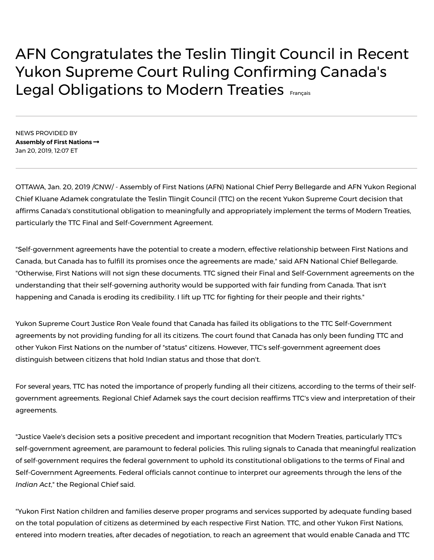## AFN Congratulates the Teslin Tlingit Council in Recent Yukon Supreme Court Ruling Confirming Canada's Legal Obligations to Modern Treaties [Français](https://www.newswire.ca/fr/news-releases/l-apn-felicite-le-conseil-des-tlingits-de-teslin-pour-la-recente-decision-de-la-cour-supreme-du-yukon-qui-confirme-les-obligations-legales-du-canada-a-l-egard-des-traites-modernes-880978055.html)

NEWS PROVIDED BY **[Assembly](https://www.newswire.ca/news/Assembly+of+First+Nations) of First Nations** Jan 20, 2019, 12:07 ET

OTTAWA, Jan. 20, 2019 /CNW/ - Assembly of First Nations (AFN) National Chief Perry Bellegarde and AFN Yukon Regional Chief Kluane Adamek congratulate the Teslin Tlingit Council (TTC) on the recent Yukon Supreme Court decision that affirms Canada's constitutional obligation to meaningfully and appropriately implement the terms of Modern Treaties, particularly the TTC Final and Self-Government Agreement.

"Self-government agreements have the potential to create a modern, effective relationship between First Nations and Canada, but Canada has to fulfill its promises once the agreements are made," said AFN National Chief Bellegarde. "Otherwise, First Nations will not sign these documents. TTC signed their Final and Self-Government agreements on the understanding that their self-governing authority would be supported with fair funding from Canada. That isn't happening and Canada is eroding its credibility. I lift up TTC for fighting for their people and their rights."

Yukon Supreme Court Justice Ron Veale found that Canada has failed its obligations to the TTC Self-Government agreements by not providing funding for all its citizens. The court found that Canada has only been funding TTC and other Yukon First Nations on the number of "status" citizens. However, TTC's self-government agreement does distinguish between citizens that hold Indian status and those that don't.

For several years, TTC has noted the importance of properly funding all their citizens, according to the terms of their selfgovernment agreements. Regional Chief Adamek says the court decision reaffirms TTC's view and interpretation of their agreements.

"Justice Vaele's decision sets a positive precedent and important recognition that Modern Treaties, particularly TTC's self-government agreement, are paramount to federal policies. This ruling signals to Canada that meaningful realization of self-government requires the federal government to uphold its constitutional obligations to the terms of Final and Self-Government Agreements. Federal officials cannot continue to interpret our agreements through the lens of the *Indian Act*," the Regional Chief said.

"Yukon First Nation children and families deserve proper programs and services supported by adequate funding based on the total population of citizens as determined by each respective First Nation. TTC, and other Yukon First Nations, entered into modern treaties, after decades of negotiation, to reach an agreement that would enable Canada and TTC